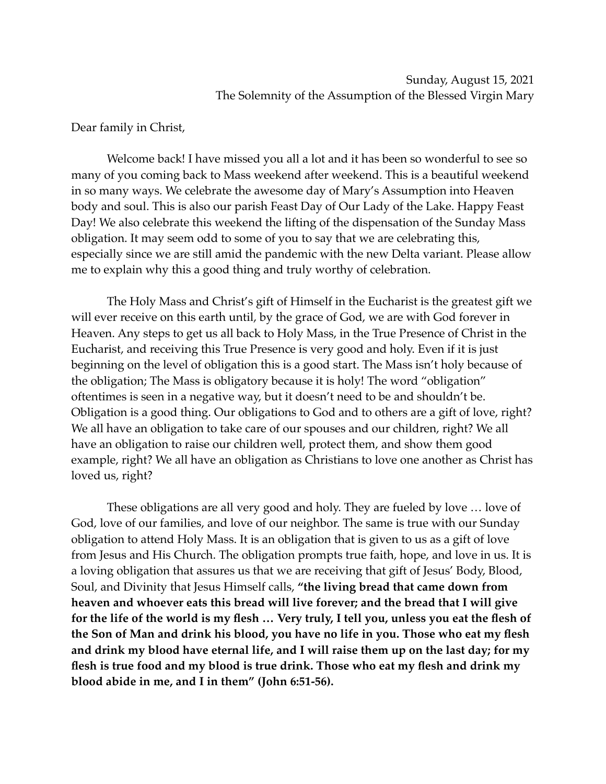## Dear family in Christ,

Welcome back! I have missed you all a lot and it has been so wonderful to see so many of you coming back to Mass weekend after weekend. This is a beautiful weekend in so many ways. We celebrate the awesome day of Mary's Assumption into Heaven body and soul. This is also our parish Feast Day of Our Lady of the Lake. Happy Feast Day! We also celebrate this weekend the lifting of the dispensation of the Sunday Mass obligation. It may seem odd to some of you to say that we are celebrating this, especially since we are still amid the pandemic with the new Delta variant. Please allow me to explain why this a good thing and truly worthy of celebration.

The Holy Mass and Christ's gift of Himself in the Eucharist is the greatest gift we will ever receive on this earth until, by the grace of God, we are with God forever in Heaven. Any steps to get us all back to Holy Mass, in the True Presence of Christ in the Eucharist, and receiving this True Presence is very good and holy. Even if it is just beginning on the level of obligation this is a good start. The Mass isn't holy because of the obligation; The Mass is obligatory because it is holy! The word "obligation" oftentimes is seen in a negative way, but it doesn't need to be and shouldn't be. Obligation is a good thing. Our obligations to God and to others are a gift of love, right? We all have an obligation to take care of our spouses and our children, right? We all have an obligation to raise our children well, protect them, and show them good example, right? We all have an obligation as Christians to love one another as Christ has loved us, right?

These obligations are all very good and holy. They are fueled by love … love of God, love of our families, and love of our neighbor. The same is true with our Sunday obligation to attend Holy Mass. It is an obligation that is given to us as a gift of love from Jesus and His Church. The obligation prompts true faith, hope, and love in us. It is a loving obligation that assures us that we are receiving that gift of Jesus' Body, Blood, Soul, and Divinity that Jesus Himself calls, **"the living bread that came down from heaven and whoever eats this bread will live forever; and the bread that I will give for the life of the world is my flesh … Very truly, I tell you, unless you eat the flesh of the Son of Man and drink his blood, you have no life in you. Those who eat my flesh and drink my blood have eternal life, and I will raise them up on the last day; for my flesh is true food and my blood is true drink. Those who eat my flesh and drink my blood abide in me, and I in them" (John 6:51-56).**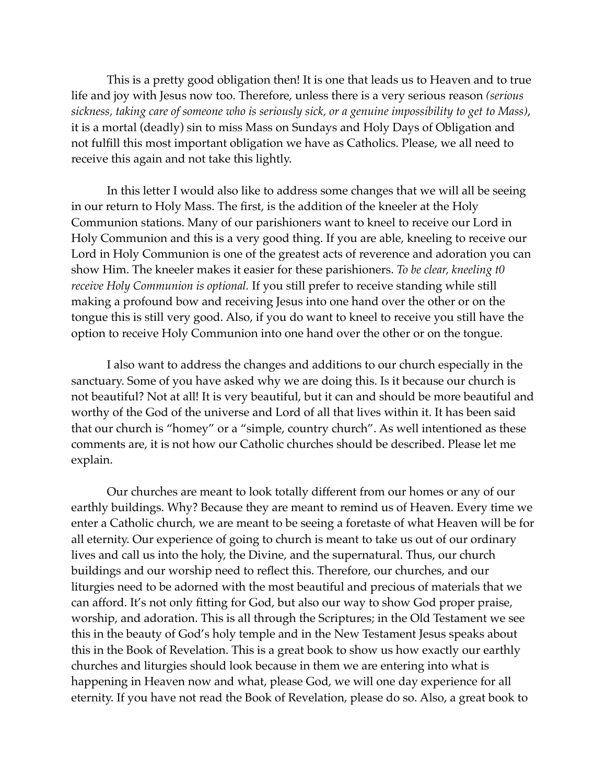This is a pretty good obligation then! It is one that leads us to Heaven and to true life and joy with Jesus now too. Therefore, unless there is a very serious reason *(serious sickness, taking care of someone who is seriously sick, or a genuine impossibility to get to Mass)*, it is a mortal (deadly) sin to miss Mass on Sundays and Holy Days of Obligation and not fulfill this most important obligation we have as Catholics. Please, we all need to receive this again and not take this lightly.

In this letter I would also like to address some changes that we will all be seeing in our return to Holy Mass. The first, is the addition of the kneeler at the Holy Communion stations. Many of our parishioners want to kneel to receive our Lord in Holy Communion and this is a very good thing. If you are able, kneeling to receive our Lord in Holy Communion is one of the greatest acts of reverence and adoration you can show Him. The kneeler makes it easier for these parishioners. *To be clear, kneeling t0 receive Holy Communion is optional.* If you still prefer to receive standing while still making a profound bow and receiving Jesus into one hand over the other or on the tongue this is still very good. Also, if you do want to kneel to receive you still have the option to receive Holy Communion into one hand over the other or on the tongue.

I also want to address the changes and additions to our church especially in the sanctuary. Some of you have asked why we are doing this. Is it because our church is not beautiful? Not at all! It is very beautiful, but it can and should be more beautiful and worthy of the God of the universe and Lord of all that lives within it. It has been said that our church is "homey" or a "simple, country church". As well intentioned as these comments are, it is not how our Catholic churches should be described. Please let me explain.

Our churches are meant to look totally different from our homes or any of our earthly buildings. Why? Because they are meant to remind us of Heaven. Every time we enter a Catholic church, we are meant to be seeing a foretaste of what Heaven will be for all eternity. Our experience of going to church is meant to take us out of our ordinary lives and call us into the holy, the Divine, and the supernatural. Thus, our church buildings and our worship need to reflect this. Therefore, our churches, and our liturgies need to be adorned with the most beautiful and precious of materials that we can afford. It's not only fitting for God, but also our way to show God proper praise, worship, and adoration. This is all through the Scriptures; in the Old Testament we see this in the beauty of God's holy temple and in the New Testament Jesus speaks about this in the Book of Revelation. This is a great book to show us how exactly our earthly churches and liturgies should look because in them we are entering into what is happening in Heaven now and what, please God, we will one day experience for all eternity. If you have not read the Book of Revelation, please do so. Also, a great book to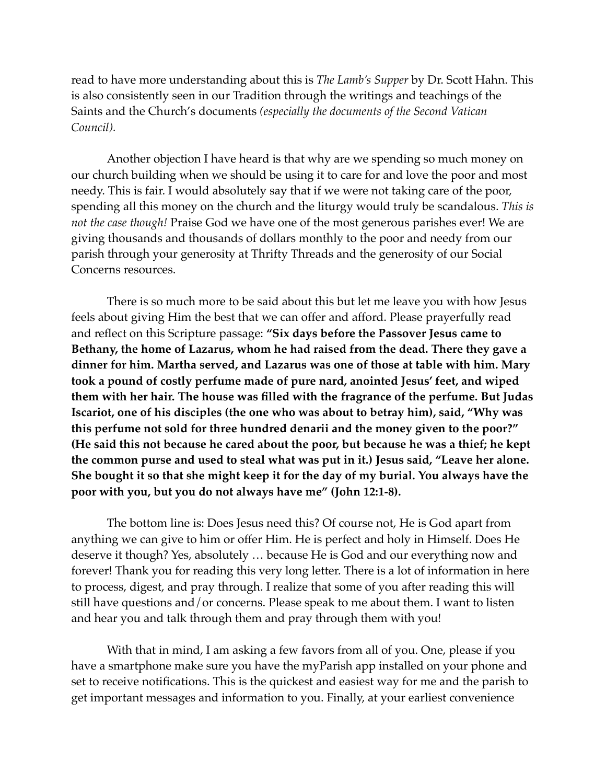read to have more understanding about this is *The Lamb's Supper* by Dr. Scott Hahn. This is also consistently seen in our Tradition through the writings and teachings of the Saints and the Church's documents *(especially the documents of the Second Vatican Council).*

Another objection I have heard is that why are we spending so much money on our church building when we should be using it to care for and love the poor and most needy. This is fair. I would absolutely say that if we were not taking care of the poor, spending all this money on the church and the liturgy would truly be scandalous. *This is not the case though!* Praise God we have one of the most generous parishes ever! We are giving thousands and thousands of dollars monthly to the poor and needy from our parish through your generosity at Thrifty Threads and the generosity of our Social Concerns resources.

There is so much more to be said about this but let me leave you with how Jesus feels about giving Him the best that we can offer and afford. Please prayerfully read and reflect on this Scripture passage: **"Six days before the Passover Jesus came to Bethany, the home of Lazarus, whom he had raised from the dead. There they gave a dinner for him. Martha served, and Lazarus was one of those at table with him. Mary took a pound of costly perfume made of pure nard, anointed Jesus' feet, and wiped them with her hair. The house was filled with the fragrance of the perfume. But Judas Iscariot, one of his disciples (the one who was about to betray him), said, "Why was this perfume not sold for three hundred denarii and the money given to the poor?" (He said this not because he cared about the poor, but because he was a thief; he kept the common purse and used to steal what was put in it.) Jesus said, "Leave her alone. She bought it so that she might keep it for the day of my burial. You always have the poor with you, but you do not always have me" (John 12:1-8).**

The bottom line is: Does Jesus need this? Of course not, He is God apart from anything we can give to him or offer Him. He is perfect and holy in Himself. Does He deserve it though? Yes, absolutely … because He is God and our everything now and forever! Thank you for reading this very long letter. There is a lot of information in here to process, digest, and pray through. I realize that some of you after reading this will still have questions and/or concerns. Please speak to me about them. I want to listen and hear you and talk through them and pray through them with you!

With that in mind, I am asking a few favors from all of you. One, please if you have a smartphone make sure you have the myParish app installed on your phone and set to receive notifications. This is the quickest and easiest way for me and the parish to get important messages and information to you. Finally, at your earliest convenience